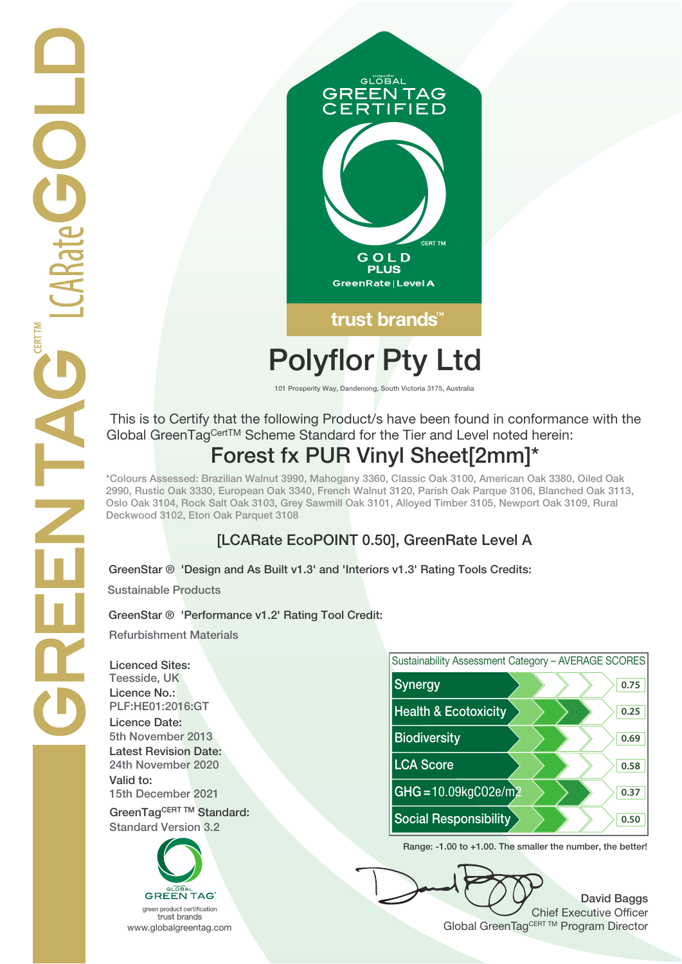

# **Polyflor Pty Ltd**

**101 Prosperity Way, Dandenong, South Victoria 3175, Australia**

 This is to Certify that the following Product/s have been found in conformance with the Global GreenTagCertTM Scheme Standard for the Tier and Level noted herein: **Forest fx PUR Vinyl Sheet[2mm]\***

**\*Colours Assessed: Brazilian Walnut 3990, Mahogany 3360, Classic Oak 3100, American Oak 3380, Oiled Oak 2990, Rustic Oak 3330, European Oak 3340, French Walnut 3120, Parish Oak Parque 3106, Blanched Oak 3113, Oslo Oak 3104, Rock Salt Oak 3103, Grey Sawmill Oak 3101, Alloyed Timber 3105, Newport Oak 3109, Rural Deckwood 3102, Eton Oak Parquet 3108**

## **[LCARate EcoPOINT 0.50], GreenRate Level A**

**GreenStar ® 'Design and As Built v1.3' and 'Interiors v1.3' Rating Tools Credits:**

**Sustainable Products**

### **GreenStar ® 'Performance v1.2' Rating Tool Credit:**

**Refurbishment Materials**

**Licenced Sites: Licence No.: Licence Date: Latest Revision Date: Valid to:**





**Range: -1.00 to +1.00. The smaller the number, the better!**

**David Baggs** Chief Executive Officer WWW.globalgreentag.com **Program Director** Clobal GreenTagCERT TM Program Director